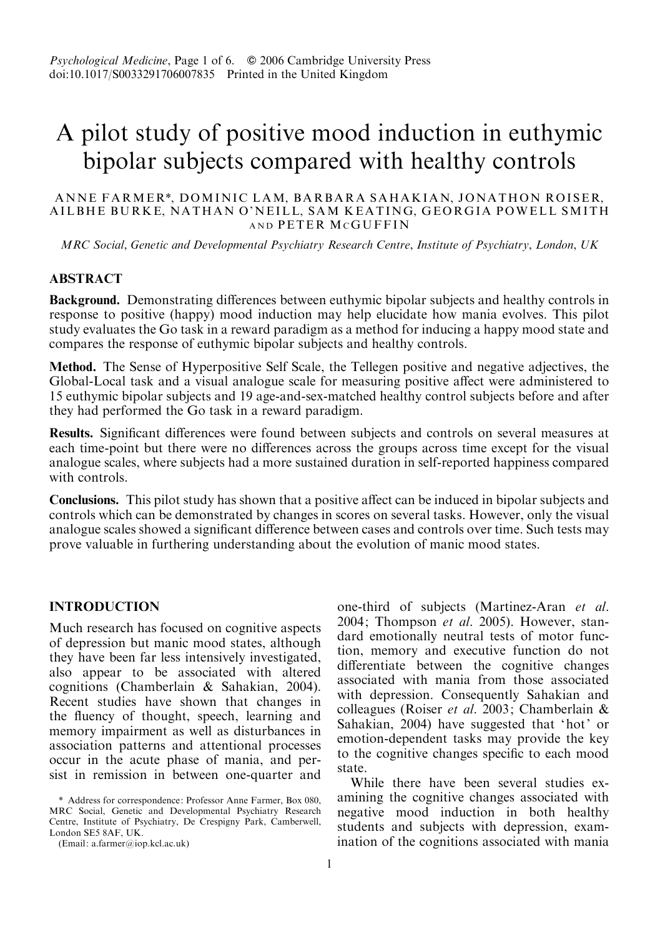# A pilot study of positive mood induction in euthymic bipolar subjects compared with healthy controls

## ANNE FARMER\*, DOMINIC LAM, BARBARA SAHAKIAN, JONATHON ROISER, AILBHE BURKE, NATHAN O'NEILL, SAM KEATING, GEORGIA POWELL SMITH AND PETER MCGUFFIN

MRC Social, Genetic and Developmental Psychiatry Research Centre, Institute of Psychiatry, London, UK

## **ABSTRACT**

Background. Demonstrating differences between euthymic bipolar subjects and healthy controls in response to positive (happy) mood induction may help elucidate how mania evolves. This pilot study evaluates the Go task in a reward paradigm as a method for inducing a happy mood state and compares the response of euthymic bipolar subjects and healthy controls.

Method. The Sense of Hyperpositive Self Scale, the Tellegen positive and negative adjectives, the Global-Local task and a visual analogue scale for measuring positive affect were administered to 15 euthymic bipolar subjects and 19 age-and-sex-matched healthy control subjects before and after they had performed the Go task in a reward paradigm.

Results. Significant differences were found between subjects and controls on several measures at each time-point but there were no differences across the groups across time except for the visual analogue scales, where subjects had a more sustained duration in self-reported happiness compared with controls.

Conclusions. This pilot study has shown that a positive affect can be induced in bipolar subjects and controls which can be demonstrated by changes in scores on several tasks. However, only the visual analogue scales showed a significant difference between cases and controls over time. Such tests may prove valuable in furthering understanding about the evolution of manic mood states.

## INTRODUCTION

Much research has focused on cognitive aspects of depression but manic mood states, although they have been far less intensively investigated, also appear to be associated with altered cognitions (Chamberlain & Sahakian, 2004). Recent studies have shown that changes in the fluency of thought, speech, learning and memory impairment as well as disturbances in association patterns and attentional processes occur in the acute phase of mania, and persist in remission in between one-quarter and

one-third of subjects (Martinez-Aran et al. 2004; Thompson et al. 2005). However, standard emotionally neutral tests of motor function, memory and executive function do not differentiate between the cognitive changes associated with mania from those associated with depression. Consequently Sahakian and colleagues (Roiser et al. 2003; Chamberlain & Sahakian, 2004) have suggested that 'hot' or emotion-dependent tasks may provide the key to the cognitive changes specific to each mood state.

While there have been several studies examining the cognitive changes associated with negative mood induction in both healthy students and subjects with depression, examination of the cognitions associated with mania

<sup>\*</sup> Address for correspondence: Professor Anne Farmer, Box 080, MRC Social, Genetic and Developmental Psychiatry Research Centre, Institute of Psychiatry, De Crespigny Park, Camberwell, London SE5 8AF, UK.

<sup>(</sup>Email: a.farmer@iop.kcl.ac.uk)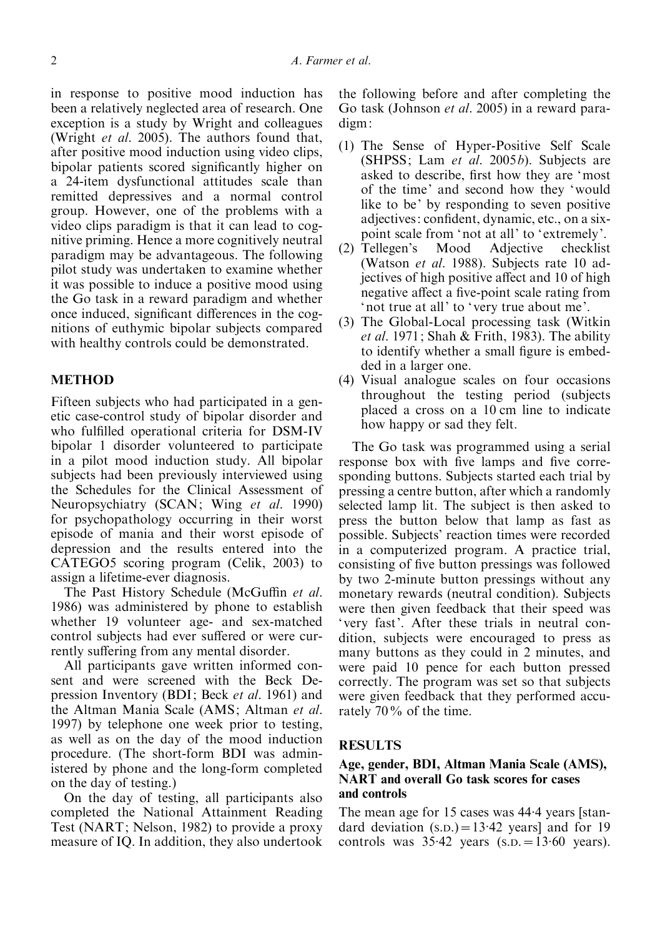in response to positive mood induction has been a relatively neglected area of research. One exception is a study by Wright and colleagues (Wright et al. 2005). The authors found that, after positive mood induction using video clips, bipolar patients scored significantly higher on a 24-item dysfunctional attitudes scale than remitted depressives and a normal control group. However, one of the problems with a video clips paradigm is that it can lead to cognitive priming. Hence a more cognitively neutral paradigm may be advantageous. The following pilot study was undertaken to examine whether it was possible to induce a positive mood using the Go task in a reward paradigm and whether once induced, significant differences in the cognitions of euthymic bipolar subjects compared

with healthy controls could be demonstrated.

## METHOD

Fifteen subjects who had participated in a genetic case-control study of bipolar disorder and who fulfilled operational criteria for DSM-IV bipolar 1 disorder volunteered to participate in a pilot mood induction study. All bipolar subjects had been previously interviewed using the Schedules for the Clinical Assessment of Neuropsychiatry (SCAN; Wing et al. 1990) for psychopathology occurring in their worst episode of mania and their worst episode of depression and the results entered into the CATEGO5 scoring program (Celik, 2003) to assign a lifetime-ever diagnosis.

The Past History Schedule (McGuffin et al. 1986) was administered by phone to establish whether 19 volunteer age- and sex-matched control subjects had ever suffered or were currently suffering from any mental disorder.

All participants gave written informed consent and were screened with the Beck Depression Inventory (BDI; Beck et al. 1961) and the Altman Mania Scale (AMS; Altman et al. 1997) by telephone one week prior to testing, as well as on the day of the mood induction procedure. (The short-form BDI was administered by phone and the long-form completed on the day of testing.)

On the day of testing, all participants also completed the National Attainment Reading Test (NART; Nelson, 1982) to provide a proxy measure of IQ. In addition, they also undertook

the following before and after completing the Go task (Johnson et al. 2005) in a reward paradigm:

- (1) The Sense of Hyper-Positive Self Scale (SHPSS; Lam et al.  $2005b$ ). Subjects are asked to describe, first how they are 'most of the time' and second how they 'would like to be' by responding to seven positive adjectives: confident, dynamic, etc., on a sixpoint scale from 'not at all' to 'extremely'.
- (2) Tellegen's Mood Adjective checklist (Watson et al. 1988). Subjects rate 10 adjectives of high positive affect and 10 of high negative affect a five-point scale rating from 'not true at all' to 'very true about me'.
- (3) The Global-Local processing task (Witkin *et al.* 1971; Shah & Frith, 1983). The ability to identify whether a small figure is embedded in a larger one.
- (4) Visual analogue scales on four occasions throughout the testing period (subjects placed a cross on a 10 cm line to indicate how happy or sad they felt.

The Go task was programmed using a serial response box with five lamps and five corresponding buttons. Subjects started each trial by pressing a centre button, after which a randomly selected lamp lit. The subject is then asked to press the button below that lamp as fast as possible. Subjects' reaction times were recorded in a computerized program. A practice trial, consisting of five button pressings was followed by two 2-minute button pressings without any monetary rewards (neutral condition). Subjects were then given feedback that their speed was 'very fast'. After these trials in neutral condition, subjects were encouraged to press as many buttons as they could in 2 minutes, and were paid 10 pence for each button pressed correctly. The program was set so that subjects were given feedback that they performed accurately 70% of the time.

## RESULTS

## Age, gender, BDI, Altman Mania Scale (AMS), NART and overall Go task scores for cases and controls

The mean age for 15 cases was 44. 4 years [standard deviation  $(s.D.) = 13.42$  years] and for 19 controls was  $35.42$  years (s.p. = 13.60 years).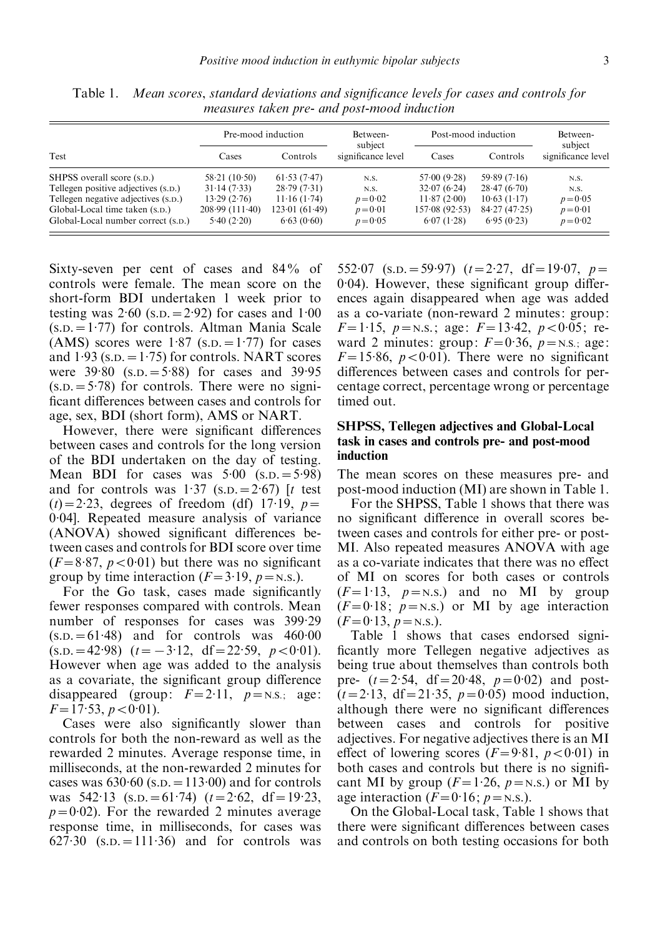| Test                                | Pre-mood induction |               | Between-<br>subject | Post-mood induction |              | Between-<br>subject |
|-------------------------------------|--------------------|---------------|---------------------|---------------------|--------------|---------------------|
|                                     | Cases              | Controls      | significance level  | Cases               | Controls     | significance level  |
| SHPSS overall score (s.p.)          | 58.21(10.50)       | 61.53(7.47)   | N.S.                | 57.00(9.28)         | 59.89(7.16)  | N.S.                |
| Tellegen positive adjectives (s.p.) | 31.14(7.33)        | 28.79(7.31)   | N.S.                | 32.07(6.24)         | 28.47(6.70)  | N.S.                |
| Tellegen negative adjectives (s.p.) | 13.29(2.76)        | 11.16(1.74)   | $p = 0.02$          | 11.87(2.00)         | 10.63(1.17)  | $p = 0.05$          |
| Global-Local time taken (s.p.)      | 208.99(111.40)     | 123.01(61.49) | $p = 0.01$          | 157.08(92.53)       | 84.27(47.25) | $p = 0.01$          |
| Global-Local number correct (s.p.)  | 5.40(2.20)         | 6.63(0.60)    | $p = 0.05$          | 6.07(1.28)          | 6.95(0.23)   | $p = 0.02$          |

Table 1. Mean scores, standard deviations and significance levels for cases and controls for measures taken pre- and post-mood induction

Sixty-seven per cent of cases and 84% of controls were female. The mean score on the short-form BDI undertaken 1 week prior to testing was  $2.60$  (s.p. =  $2.92$ ) for cases and  $1.00$ (S.D.=1. 77) for controls. Altman Mania Scale (AMS) scores were  $1.87$  (s.p.  $=1.77$ ) for cases and  $1.93$  (s.p. = 1.75) for controls. NART scores were  $39.80$  (s.p.  $= 5.88$ ) for cases and 39.95  $(s.D. = 5.78)$  for controls. There were no significant differences between cases and controls for age, sex, BDI (short form), AMS or NART.

However, there were significant differences between cases and controls for the long version of the BDI undertaken on the day of testing. Mean BDI for cases was  $5.00$  (s.p.  $= 5.98$ ) and for controls was  $1.37$  (s.p. =  $2.67$ ) [t test  $(t) = 2.23$ , degrees of freedom (df) 17.19,  $p =$ 0.04]. Repeated measure analysis of variance (ANOVA) showed significant differences between cases and controls for BDI score over time  $(F=8.87, p<0.01)$  but there was no significant group by time interaction ( $F = 3.19$ ,  $p =$ N.S.).

For the Go task, cases made significantly fewer responses compared with controls. Mean number of responses for cases was 399.29  $(s.D. = 61.48)$  and for controls was  $460.00$  $(s.p. = 42.98)$   $(t = -3.12, df = 22.59, p < 0.01).$ However when age was added to the analysis as a covariate, the significant group difference disappeared (group:  $F=2.11$ ,  $p =$ N.S.; age:  $F=17.53, p < 0.01$ ).

Cases were also significantly slower than controls for both the non-reward as well as the rewarded 2 minutes. Average response time, in milliseconds, at the non-rewarded 2 minutes for cases was  $630.60$  (s.p.  $= 113.00$ ) and for controls was  $542.13$  (s.p.  $= 61.74$ ) ( $t = 2.62$ , df  $= 19.23$ ,  $p=0.02$ ). For the rewarded 2 minutes average response time, in milliseconds, for cases was  $627.30$   $(s.D. = 111.36)$  and for controls was

552.07 (s.p. = 59.97)  $(t=2.27, df=19.07, p=$ 0.04). However, these significant group differences again disappeared when age was added as a co-variate (non-reward 2 minutes: group:  $F=1.15$ ,  $p =$ N.S.; age:  $F=13.42$ ,  $p < 0.05$ ; reward 2 minutes: group:  $F=0.36$ ,  $p =$ N.s.; age:  $F=15.86, p<0.01$ ). There were no significant differences between cases and controls for percentage correct, percentage wrong or percentage timed out.

## SHPSS, Tellegen adjectives and Global-Local task in cases and controls pre- and post-mood induction

The mean scores on these measures pre- and post-mood induction (MI) are shown in Table 1.

For the SHPSS, Table 1 shows that there was no significant difference in overall scores between cases and controls for either pre- or post-MI. Also repeated measures ANOVA with age as a co-variate indicates that there was no effect of MI on scores for both cases or controls  $(F=1.13, p=N.S.)$  and no MI by group  $(F=0.18; p=$  N.s.) or MI by age interaction  $(F=0.13, p = N.S.).$ 

Table 1 shows that cases endorsed significantly more Tellegen negative adjectives as being true about themselves than controls both pre-  $(t=2.54, df=20.48, p=0.02)$  and post- $(t=2.13, df=21.35, p=0.05)$  mood induction, although there were no significant differences between cases and controls for positive adjectives. For negative adjectives there is an MI effect of lowering scores  $(F=9.81, p<0.01)$  in both cases and controls but there is no significant MI by group  $(F=1.26, p=n.s.)$  or MI by age interaction  $(F=0.16; p = N.S.).$ 

On the Global-Local task, Table 1 shows that there were significant differences between cases and controls on both testing occasions for both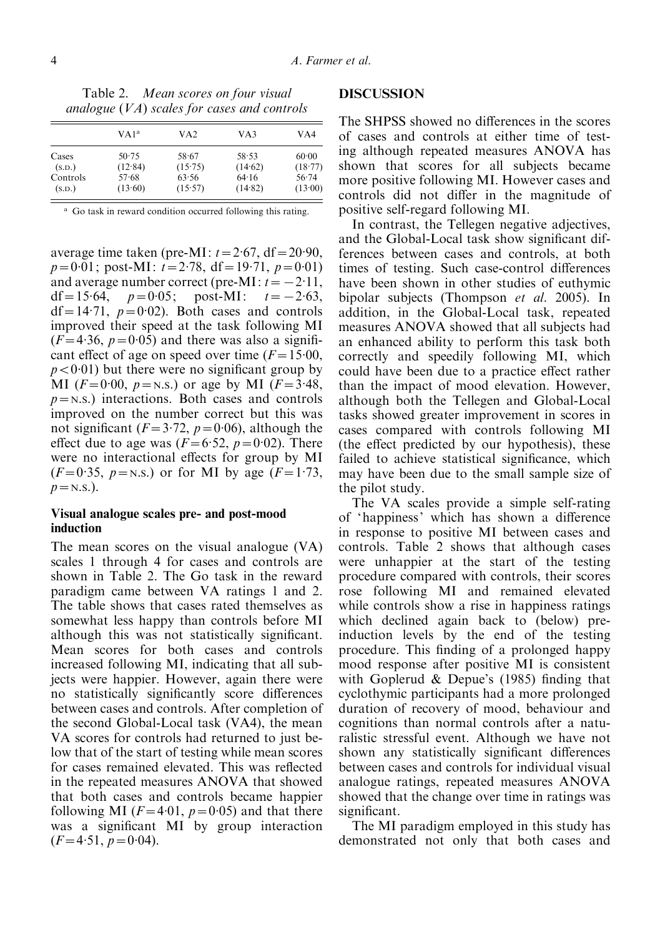Table 2. Mean scores on four visual analogue (VA) scales for cases and controls

|          | VA1 <sup>a</sup> | VA <sub>2</sub> | VA3     | VA4     |  |
|----------|------------------|-----------------|---------|---------|--|
| Cases    | $50-75$          | 58.67           | 58.53   | 60.00   |  |
| (S.D.)   | (12.84)          | (15.75)         | (14.62) | (18.77) |  |
| Controls | 57.68            | 63.56           | 64.16   | 56.74   |  |
| (S.D.)   | (13.60)          | (15.57)         | (14.82) | (13.00) |  |

<sup>a</sup> Go task in reward condition occurred following this rating.

average time taken (pre-MI:  $t = 2.67$ , df = 20.90,  $p=0.01$ ; post-MI:  $t=2.78$ , df = 19.71,  $p=0.01$ ) and average number correct (pre-MI:  $t = -2.11$ , df = 15.64,  $p = 0.05$ ; post-MI:  $t = -2.63$ ,  $df = 14.71$ ,  $p = 0.02$ ). Both cases and controls improved their speed at the task following MI  $(F=4.36, p=0.05)$  and there was also a significant effect of age on speed over time  $(F=15.00)$ ,  $p < 0.01$ ) but there were no significant group by MI ( $F=0.00, p = \text{N.S.}$ ) or age by MI ( $F=3.48$ ,  $p = N.S.$ ) interactions. Both cases and controls improved on the number correct but this was not significant ( $F = 3.72$ ,  $p = 0.06$ ), although the effect due to age was  $(F=6.52, p=0.02)$ . There were no interactional effects for group by MI  $(F=0.35, p=N.s.)$  or for MI by age  $(F=1.73,$  $p = N.S.$ ).

## Visual analogue scales pre- and post-mood induction

The mean scores on the visual analogue (VA) scales 1 through 4 for cases and controls are shown in Table 2. The Go task in the reward paradigm came between VA ratings 1 and 2. The table shows that cases rated themselves as somewhat less happy than controls before MI although this was not statistically significant. Mean scores for both cases and controls increased following MI, indicating that all subjects were happier. However, again there were no statistically significantly score differences between cases and controls. After completion of the second Global-Local task (VA4), the mean VA scores for controls had returned to just below that of the start of testing while mean scores for cases remained elevated. This was reflected in the repeated measures ANOVA that showed that both cases and controls became happier following MI ( $F=4.01$ ,  $p=0.05$ ) and that there was a significant MI by group interaction  $(F=4.51, p=0.04).$ 

#### DISCUSSION

The SHPSS showed no differences in the scores of cases and controls at either time of testing although repeated measures ANOVA has shown that scores for all subjects became more positive following MI. However cases and controls did not differ in the magnitude of positive self-regard following MI.

In contrast, the Tellegen negative adjectives, and the Global-Local task show significant differences between cases and controls, at both times of testing. Such case-control differences have been shown in other studies of euthymic bipolar subjects (Thompson et al. 2005). In addition, in the Global-Local task, repeated measures ANOVA showed that all subjects had an enhanced ability to perform this task both correctly and speedily following MI, which could have been due to a practice effect rather than the impact of mood elevation. However, although both the Tellegen and Global-Local tasks showed greater improvement in scores in cases compared with controls following MI (the effect predicted by our hypothesis), these failed to achieve statistical significance, which may have been due to the small sample size of the pilot study.

The VA scales provide a simple self-rating of 'happiness' which has shown a difference in response to positive MI between cases and controls. Table 2 shows that although cases were unhappier at the start of the testing procedure compared with controls, their scores rose following MI and remained elevated while controls show a rise in happiness ratings which declined again back to (below) preinduction levels by the end of the testing procedure. This finding of a prolonged happy mood response after positive MI is consistent with Goplerud  $&$  Depue's (1985) finding that cyclothymic participants had a more prolonged duration of recovery of mood, behaviour and cognitions than normal controls after a naturalistic stressful event. Although we have not shown any statistically significant differences between cases and controls for individual visual analogue ratings, repeated measures ANOVA showed that the change over time in ratings was significant.

The MI paradigm employed in this study has demonstrated not only that both cases and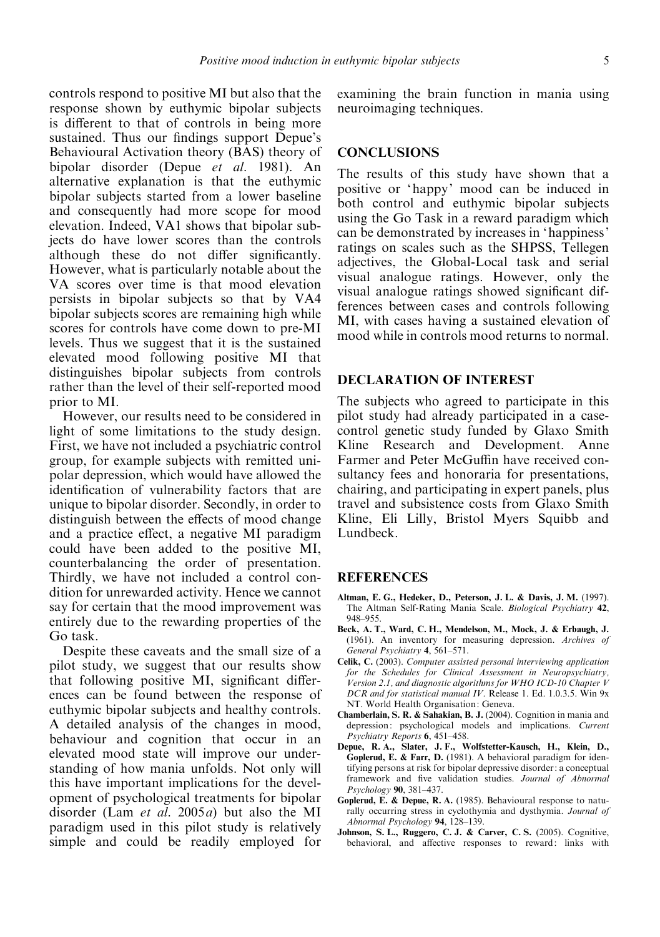controls respond to positive MI but also that the response shown by euthymic bipolar subjects is different to that of controls in being more sustained. Thus our findings support Depue's Behavioural Activation theory (BAS) theory of bipolar disorder (Depue et al. 1981). An alternative explanation is that the euthymic bipolar subjects started from a lower baseline and consequently had more scope for mood elevation. Indeed, VA1 shows that bipolar subjects do have lower scores than the controls although these do not differ significantly. However, what is particularly notable about the VA scores over time is that mood elevation persists in bipolar subjects so that by VA4 bipolar subjects scores are remaining high while scores for controls have come down to pre-MI levels. Thus we suggest that it is the sustained elevated mood following positive MI that distinguishes bipolar subjects from controls rather than the level of their self-reported mood prior to MI.

However, our results need to be considered in light of some limitations to the study design. First, we have not included a psychiatric control group, for example subjects with remitted unipolar depression, which would have allowed the identification of vulnerability factors that are unique to bipolar disorder. Secondly, in order to distinguish between the effects of mood change and a practice effect, a negative MI paradigm could have been added to the positive MI, counterbalancing the order of presentation. Thirdly, we have not included a control condition for unrewarded activity. Hence we cannot say for certain that the mood improvement was entirely due to the rewarding properties of the Go task.

Despite these caveats and the small size of a pilot study, we suggest that our results show that following positive MI, significant differences can be found between the response of euthymic bipolar subjects and healthy controls. A detailed analysis of the changes in mood, behaviour and cognition that occur in an elevated mood state will improve our understanding of how mania unfolds. Not only will this have important implications for the development of psychological treatments for bipolar disorder (Lam et al. 2005a) but also the MI paradigm used in this pilot study is relatively simple and could be readily employed for examining the brain function in mania using neuroimaging techniques.

## **CONCLUSIONS**

The results of this study have shown that a positive or 'happy' mood can be induced in both control and euthymic bipolar subjects using the Go Task in a reward paradigm which can be demonstrated by increases in 'happiness' ratings on scales such as the SHPSS, Tellegen adjectives, the Global-Local task and serial visual analogue ratings. However, only the visual analogue ratings showed significant differences between cases and controls following MI, with cases having a sustained elevation of mood while in controls mood returns to normal.

## DECLARATION OF INTEREST

The subjects who agreed to participate in this pilot study had already participated in a casecontrol genetic study funded by Glaxo Smith Kline Research and Development. Anne Farmer and Peter McGuffin have received consultancy fees and honoraria for presentations, chairing, and participating in expert panels, plus travel and subsistence costs from Glaxo Smith Kline, Eli Lilly, Bristol Myers Squibb and Lundbeck.

#### **REFERENCES**

- Altman, E. G., Hedeker, D., Peterson, J. L. & Davis, J. M. (1997). The Altman Self-Rating Mania Scale. Biological Psychiatry 42, 948–955.
- Beck, A. T., Ward, C. H., Mendelson, M., Mock, J. & Erbaugh, J. (1961). An inventory for measuring depression. Archives of General Psychiatry 4, 561–571.
- Celik, C. (2003). Computer assisted personal interviewing application for the Schedules for Clinical Assessment in Neuropsychiatry, Version 2.1, and diagnostic algorithms for WHO ICD-10 Chapter V DCR and for statistical manual IV. Release 1. Ed. 1.0.3.5. Win 9x NT. World Health Organisation: Geneva.
- Chamberlain, S. R. & Sahakian, B. J. (2004). Cognition in mania and depression: psychological models and implications. Current Psychiatry Reports 6, 451–458.
- Depue, R. A., Slater, J. F., Wolfstetter-Kausch, H., Klein, D., Goplerud, E. & Farr, D. (1981). A behavioral paradigm for identifying persons at risk for bipolar depressive disorder: a conceptual framework and five validation studies. Journal of Abnormal Psychology 90, 381–437.
- Goplerud, E. & Depue, R. A. (1985). Behavioural response to naturally occurring stress in cyclothymia and dysthymia. Journal of Abnormal Psychology 94, 128–139.
- Johnson, S. L., Ruggero, C. J. & Carver, C. S. (2005). Cognitive, behavioral, and affective responses to reward: links with